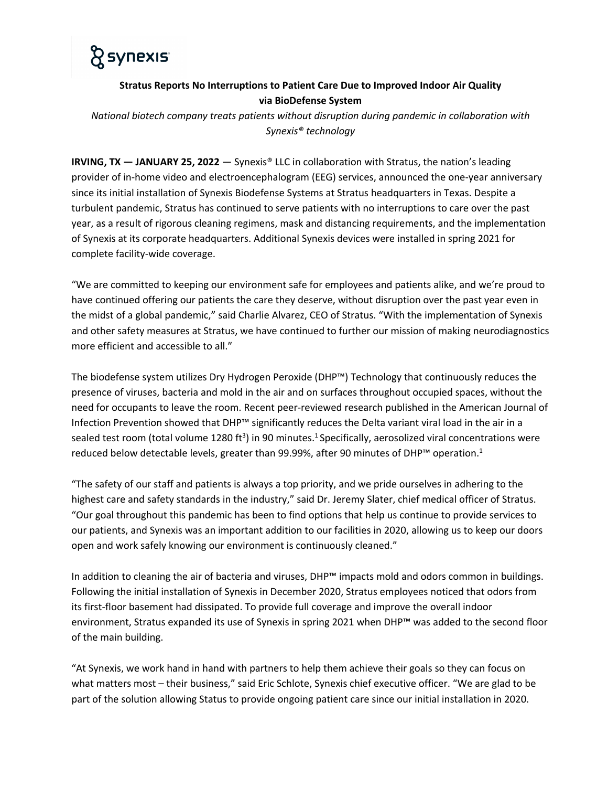

## **Stratus Reports No Interruptions to Patient Care Due to Improved Indoor Air Quality via BioDefense System**

*National biotech company treats patients without disruption during pandemic in collaboration with Synexis® technology*

**IRVING, TX — JANUARY 25, 2022** — Synexis® LLC in collaboration with Stratus, the nation's leading provider of in-home video and electroencephalogram (EEG) services, announced the one-year anniversary since its initial installation of Synexis Biodefense Systems at Stratus headquarters in Texas. Despite a turbulent pandemic, Stratus has continued to serve patients with no interruptions to care over the past year, as a result of rigorous cleaning regimens, mask and distancing requirements, and the implementation of Synexis at its corporate headquarters. Additional Synexis devices were installed in spring 2021 for complete facility-wide coverage.

"We are committed to keeping our environment safe for employees and patients alike, and we're proud to have continued offering our patients the care they deserve, without disruption over the past year even in the midst of a global pandemic," said Charlie Alvarez, CEO of Stratus. "With the implementation of Synexis and other safety measures at Stratus, we have continued to further our mission of making neurodiagnostics more efficient and accessible to all."

The biodefense system utilizes Dry Hydrogen Peroxide (DHP™) Technology that continuously reduces the presence of viruses, bacteria and mold in the air and on surfaces throughout occupied spaces, without the need for occupants to leave the room. Recent peer-reviewed research published in the American Journal of Infection Prevention showed that DHP™ significantly reduces the Delta variant viral load in the air in a sealed test room (total volume 1280 ft<sup>3</sup>) in 90 minutes.<sup>1</sup> Specifically, aerosolized viral concentrations were reduced below detectable levels, greater than 99.99%, after 90 minutes of DHP™ operation.<sup>1</sup>

"The safety of our staff and patients is always a top priority, and we pride ourselves in adhering to the highest care and safety standards in the industry," said Dr. Jeremy Slater, chief medical officer of Stratus. "Our goal throughout this pandemic has been to find options that help us continue to provide services to our patients, and Synexis was an important addition to our facilities in 2020, allowing us to keep our doors open and work safely knowing our environment is continuously cleaned."

In addition to cleaning the air of bacteria and viruses, DHP™ impacts mold and odors common in buildings. Following the initial installation of Synexis in December 2020, Stratus employees noticed that odors from its first-floor basement had dissipated. To provide full coverage and improve the overall indoor environment, Stratus expanded its use of Synexis in spring 2021 when DHP™ was added to the second floor of the main building.

"At Synexis, we work hand in hand with partners to help them achieve their goals so they can focus on what matters most – their business," said Eric Schlote, Synexis chief executive officer. "We are glad to be part of the solution allowing Status to provide ongoing patient care since our initial installation in 2020.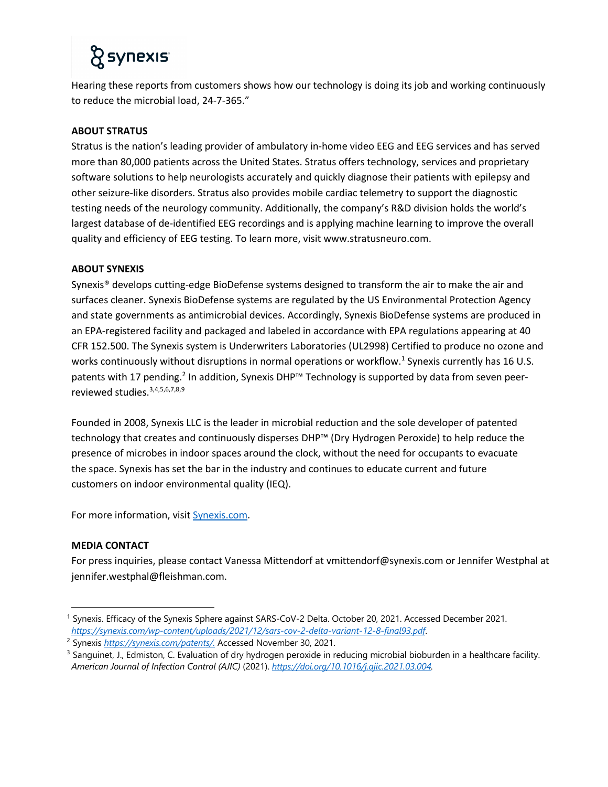# *R* synexis

Hearing these reports from customers shows how our technology is doing its job and working continuously to reduce the microbial load, 24-7-365."

### **ABOUT STRATUS**

Stratus is the nation's leading provider of ambulatory in-home video EEG and EEG services and has served more than 80,000 patients across the United States. Stratus offers technology, services and proprietary software solutions to help neurologists accurately and quickly diagnose their patients with epilepsy and other seizure-like disorders. Stratus also provides mobile cardiac telemetry to support the diagnostic testing needs of the neurology community. Additionally, the company's R&D division holds the world's largest database of de-identified EEG recordings and is applying machine learning to improve the overall quality and efficiency of EEG testing. To learn more, visit www.stratusneuro.com.

#### **ABOUT SYNEXIS**

Synexis® develops cutting-edge BioDefense systems designed to transform the air to make the air and surfaces cleaner. Synexis BioDefense systems are regulated by the US Environmental Protection Agency and state governments as antimicrobial devices. Accordingly, Synexis BioDefense systems are produced in an EPA-registered facility and packaged and labeled in accordance with EPA regulations appearing at 40 CFR 152.500. The Synexis system is Underwriters Laboratories (UL2998) Certified to produce no ozone and works continuously without disruptions in normal operations or workflow.<sup>1</sup> Synexis currently has 16 U.S. patents with 17 pending.<sup>2</sup> In addition, Synexis DHP<sup>™</sup> Technology is supported by data from seven peerreviewed studies.3,4,5,6,7,8,9

Founded in 2008, Synexis LLC is the leader in microbial reduction and the sole developer of patented technology that creates and continuously disperses DHP™ (Dry Hydrogen Peroxide) to help reduce the presence of microbes in indoor spaces around the clock, without the need for occupants to evacuate the space. Synexis has set the bar in the industry and continues to educate current and future customers on indoor environmental quality (IEQ).

For more information, visit Synexis.com.

### **MEDIA CONTACT**

For press inquiries, please contact Vanessa Mittendorf at vmittendorf@synexis.com or Jennifer Westphal at jennifer.westphal@fleishman.com.

<sup>1</sup> Synexis. Efficacy of the Synexis Sphere against SARS-CoV-2 Delta. October 20, 2021. Accessed December 2021. *https://synexis.com/wp-content/uploads/2021/12/sars-cov-2-delta-variant-12-8-final93.pdf*.

<sup>2</sup> Synexis *https://synexis.com/patents/.* Accessed November 30, 2021.

<sup>&</sup>lt;sup>3</sup> Sanguinet, J., Edmiston, C. Evaluation of dry hydrogen peroxide in reducing microbial bioburden in a healthcare facility. *American Journal of Infection Control (AJIC)* (2021). *https://doi.org/10.1016/j.ajic.2021.03.004.*